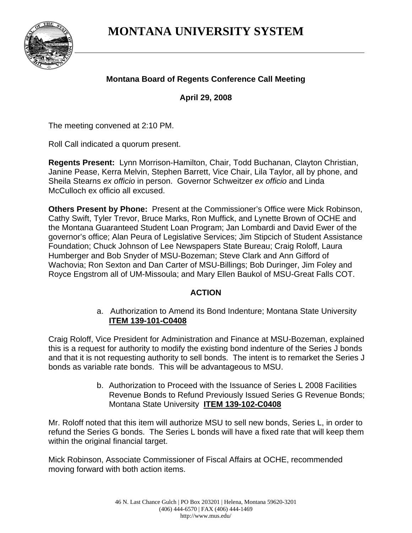**MONTANA UNIVERSITY SYSTEM** 



## **Montana Board of Regents Conference Call Meeting**

**April 29, 2008** 

The meeting convened at 2:10 PM.

Roll Call indicated a quorum present.

**Regents Present:** Lynn Morrison-Hamilton, Chair, Todd Buchanan, Clayton Christian, Janine Pease, Kerra Melvin, Stephen Barrett, Vice Chair, Lila Taylor, all by phone, and Sheila Stearns *ex officio* in person. Governor Schweitzer *ex officio* and Linda McCulloch ex officio all excused.

**Others Present by Phone:** Present at the Commissioner's Office were Mick Robinson, Cathy Swift, Tyler Trevor, Bruce Marks, Ron Muffick, and Lynette Brown of OCHE and the Montana Guaranteed Student Loan Program; Jan Lombardi and David Ewer of the governor's office; Alan Peura of Legislative Services; Jim Stipcich of Student Assistance Foundation; Chuck Johnson of Lee Newspapers State Bureau; Craig Roloff, Laura Humberger and Bob Snyder of MSU-Bozeman; Steve Clark and Ann Gifford of Wachovia; Ron Sexton and Dan Carter of MSU-Billings; Bob Duringer, Jim Foley and Royce Engstrom all of UM-Missoula; and Mary Ellen Baukol of MSU-Great Falls COT.

## **ACTION**

a. Authorization to Amend its Bond Indenture; Montana State University **ITEM 139-101-C0408**

Craig Roloff, Vice President for Administration and Finance at MSU-Bozeman, explained this is a request for authority to modify the existing bond indenture of the Series J bonds and that it is not requesting authority to sell bonds. The intent is to remarket the Series J bonds as variable rate bonds. This will be advantageous to MSU.

> b. Authorization to Proceed with the Issuance of Series L 2008 Facilities Revenue Bonds to Refund Previously Issued Series G Revenue Bonds; Montana State University **ITEM 139-102-C0408**

Mr. Roloff noted that this item will authorize MSU to sell new bonds, Series L, in order to refund the Series G bonds. The Series L bonds will have a fixed rate that will keep them within the original financial target.

Mick Robinson, Associate Commissioner of Fiscal Affairs at OCHE, recommended moving forward with both action items.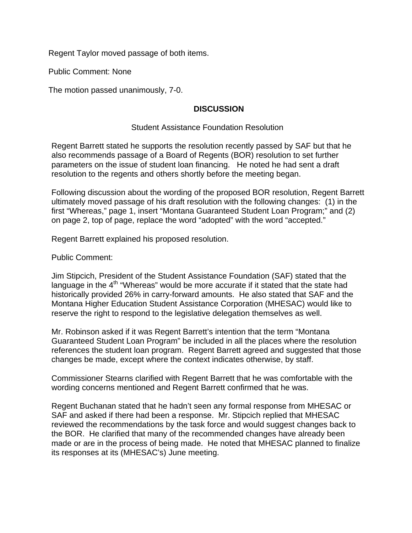Regent Taylor moved passage of both items.

Public Comment: None

The motion passed unanimously, 7-0.

## **DISCUSSION**

## Student Assistance Foundation Resolution

Regent Barrett stated he supports the resolution recently passed by SAF but that he also recommends passage of a Board of Regents (BOR) resolution to set further parameters on the issue of student loan financing. He noted he had sent a draft resolution to the regents and others shortly before the meeting began.

Following discussion about the wording of the proposed BOR resolution, Regent Barrett ultimately moved passage of his draft resolution with the following changes: (1) in the first "Whereas," page 1, insert "Montana Guaranteed Student Loan Program;" and (2) on page 2, top of page, replace the word "adopted" with the word "accepted."

Regent Barrett explained his proposed resolution.

Public Comment:

Jim Stipcich, President of the Student Assistance Foundation (SAF) stated that the language in the  $4<sup>th</sup>$  "Whereas" would be more accurate if it stated that the state had historically provided 26% in carry-forward amounts. He also stated that SAF and the Montana Higher Education Student Assistance Corporation (MHESAC) would like to reserve the right to respond to the legislative delegation themselves as well.

Mr. Robinson asked if it was Regent Barrett's intention that the term "Montana Guaranteed Student Loan Program" be included in all the places where the resolution references the student loan program. Regent Barrett agreed and suggested that those changes be made, except where the context indicates otherwise, by staff.

Commissioner Stearns clarified with Regent Barrett that he was comfortable with the wording concerns mentioned and Regent Barrett confirmed that he was.

Regent Buchanan stated that he hadn't seen any formal response from MHESAC or SAF and asked if there had been a response. Mr. Stipcich replied that MHESAC reviewed the recommendations by the task force and would suggest changes back to the BOR. He clarified that many of the recommended changes have already been made or are in the process of being made. He noted that MHESAC planned to finalize its responses at its (MHESAC's) June meeting.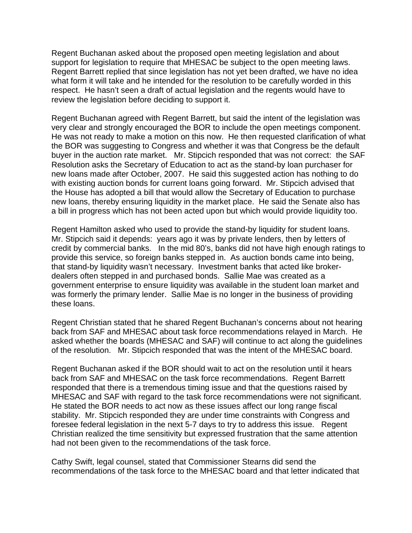Regent Buchanan asked about the proposed open meeting legislation and about support for legislation to require that MHESAC be subject to the open meeting laws. Regent Barrett replied that since legislation has not yet been drafted, we have no idea what form it will take and he intended for the resolution to be carefully worded in this respect. He hasn't seen a draft of actual legislation and the regents would have to review the legislation before deciding to support it.

Regent Buchanan agreed with Regent Barrett, but said the intent of the legislation was very clear and strongly encouraged the BOR to include the open meetings component. He was not ready to make a motion on this now. He then requested clarification of what the BOR was suggesting to Congress and whether it was that Congress be the default buyer in the auction rate market. Mr. Stipcich responded that was not correct: the SAF Resolution asks the Secretary of Education to act as the stand-by loan purchaser for new loans made after October, 2007. He said this suggested action has nothing to do with existing auction bonds for current loans going forward. Mr. Stipcich advised that the House has adopted a bill that would allow the Secretary of Education to purchase new loans, thereby ensuring liquidity in the market place. He said the Senate also has a bill in progress which has not been acted upon but which would provide liquidity too.

Regent Hamilton asked who used to provide the stand-by liquidity for student loans. Mr. Stipcich said it depends: years ago it was by private lenders, then by letters of credit by commercial banks. In the mid 80's, banks did not have high enough ratings to provide this service, so foreign banks stepped in. As auction bonds came into being, that stand-by liquidity wasn't necessary. Investment banks that acted like brokerdealers often stepped in and purchased bonds. Sallie Mae was created as a government enterprise to ensure liquidity was available in the student loan market and was formerly the primary lender. Sallie Mae is no longer in the business of providing these loans.

Regent Christian stated that he shared Regent Buchanan's concerns about not hearing back from SAF and MHESAC about task force recommendations relayed in March. He asked whether the boards (MHESAC and SAF) will continue to act along the guidelines of the resolution. Mr. Stipcich responded that was the intent of the MHESAC board.

Regent Buchanan asked if the BOR should wait to act on the resolution until it hears back from SAF and MHESAC on the task force recommendations. Regent Barrett responded that there is a tremendous timing issue and that the questions raised by MHESAC and SAF with regard to the task force recommendations were not significant. He stated the BOR needs to act now as these issues affect our long range fiscal stability. Mr. Stipcich responded they are under time constraints with Congress and foresee federal legislation in the next 5-7 days to try to address this issue. Regent Christian realized the time sensitivity but expressed frustration that the same attention had not been given to the recommendations of the task force.

Cathy Swift, legal counsel, stated that Commissioner Stearns did send the recommendations of the task force to the MHESAC board and that letter indicated that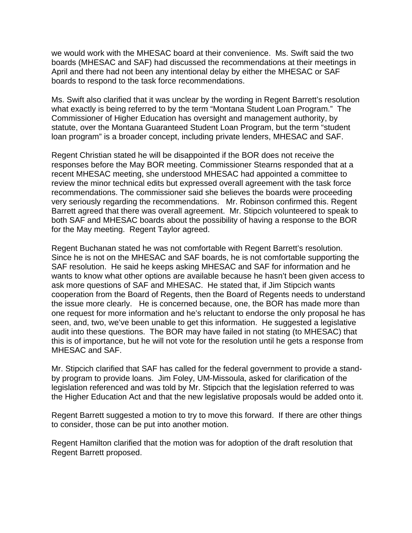we would work with the MHESAC board at their convenience. Ms. Swift said the two boards (MHESAC and SAF) had discussed the recommendations at their meetings in April and there had not been any intentional delay by either the MHESAC or SAF boards to respond to the task force recommendations.

Ms. Swift also clarified that it was unclear by the wording in Regent Barrett's resolution what exactly is being referred to by the term "Montana Student Loan Program." The Commissioner of Higher Education has oversight and management authority, by statute, over the Montana Guaranteed Student Loan Program, but the term "student loan program" is a broader concept, including private lenders, MHESAC and SAF.

Regent Christian stated he will be disappointed if the BOR does not receive the responses before the May BOR meeting. Commissioner Stearns responded that at a recent MHESAC meeting, she understood MHESAC had appointed a committee to review the minor technical edits but expressed overall agreement with the task force recommendations. The commissioner said she believes the boards were proceeding very seriously regarding the recommendations. Mr. Robinson confirmed this. Regent Barrett agreed that there was overall agreement. Mr. Stipcich volunteered to speak to both SAF and MHESAC boards about the possibility of having a response to the BOR for the May meeting. Regent Taylor agreed.

Regent Buchanan stated he was not comfortable with Regent Barrett's resolution. Since he is not on the MHESAC and SAF boards, he is not comfortable supporting the SAF resolution. He said he keeps asking MHESAC and SAF for information and he wants to know what other options are available because he hasn't been given access to ask more questions of SAF and MHESAC. He stated that, if Jim Stipcich wants cooperation from the Board of Regents, then the Board of Regents needs to understand the issue more clearly. He is concerned because, one, the BOR has made more than one request for more information and he's reluctant to endorse the only proposal he has seen, and, two, we've been unable to get this information. He suggested a legislative audit into these questions. The BOR may have failed in not stating (to MHESAC) that this is of importance, but he will not vote for the resolution until he gets a response from MHESAC and SAF.

Mr. Stipcich clarified that SAF has called for the federal government to provide a standby program to provide loans. Jim Foley, UM-Missoula, asked for clarification of the legislation referenced and was told by Mr. Stipcich that the legislation referred to was the Higher Education Act and that the new legislative proposals would be added onto it.

Regent Barrett suggested a motion to try to move this forward. If there are other things to consider, those can be put into another motion.

Regent Hamilton clarified that the motion was for adoption of the draft resolution that Regent Barrett proposed.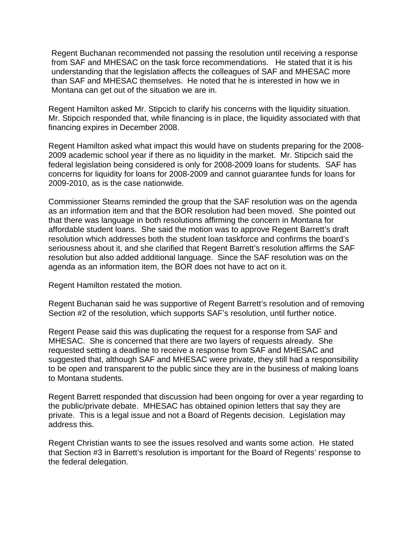Regent Buchanan recommended not passing the resolution until receiving a response from SAF and MHESAC on the task force recommendations. He stated that it is his understanding that the legislation affects the colleagues of SAF and MHESAC more than SAF and MHESAC themselves. He noted that he is interested in how we in Montana can get out of the situation we are in.

Regent Hamilton asked Mr. Stipcich to clarify his concerns with the liquidity situation. Mr. Stipcich responded that, while financing is in place, the liquidity associated with that financing expires in December 2008.

Regent Hamilton asked what impact this would have on students preparing for the 2008- 2009 academic school year if there as no liquidity in the market. Mr. Stipcich said the federal legislation being considered is only for 2008-2009 loans for students. SAF has concerns for liquidity for loans for 2008-2009 and cannot guarantee funds for loans for 2009-2010, as is the case nationwide.

Commissioner Stearns reminded the group that the SAF resolution was on the agenda as an information item and that the BOR resolution had been moved. She pointed out that there was language in both resolutions affirming the concern in Montana for affordable student loans. She said the motion was to approve Regent Barrett's draft resolution which addresses both the student loan taskforce and confirms the board's seriousness about it, and she clarified that Regent Barrett's resolution affirms the SAF resolution but also added additional language. Since the SAF resolution was on the agenda as an information item, the BOR does not have to act on it.

Regent Hamilton restated the motion.

Regent Buchanan said he was supportive of Regent Barrett's resolution and of removing Section #2 of the resolution, which supports SAF's resolution, until further notice.

Regent Pease said this was duplicating the request for a response from SAF and MHESAC. She is concerned that there are two layers of requests already. She requested setting a deadline to receive a response from SAF and MHESAC and suggested that, although SAF and MHESAC were private, they still had a responsibility to be open and transparent to the public since they are in the business of making loans to Montana students.

Regent Barrett responded that discussion had been ongoing for over a year regarding to the public/private debate. MHESAC has obtained opinion letters that say they are private. This is a legal issue and not a Board of Regents decision. Legislation may address this.

Regent Christian wants to see the issues resolved and wants some action. He stated that Section #3 in Barrett's resolution is important for the Board of Regents' response to the federal delegation.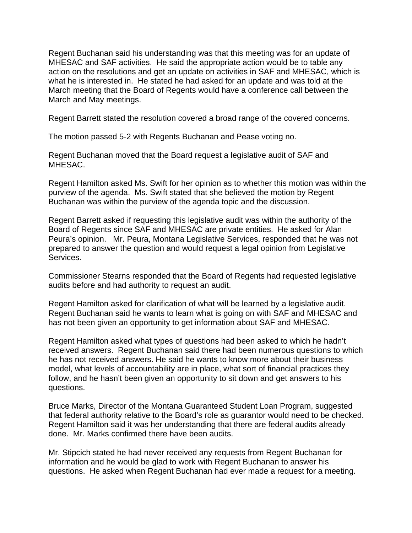Regent Buchanan said his understanding was that this meeting was for an update of MHESAC and SAF activities. He said the appropriate action would be to table any action on the resolutions and get an update on activities in SAF and MHESAC, which is what he is interested in. He stated he had asked for an update and was told at the March meeting that the Board of Regents would have a conference call between the March and May meetings.

Regent Barrett stated the resolution covered a broad range of the covered concerns.

The motion passed 5-2 with Regents Buchanan and Pease voting no.

Regent Buchanan moved that the Board request a legislative audit of SAF and MHESAC.

Regent Hamilton asked Ms. Swift for her opinion as to whether this motion was within the purview of the agenda. Ms. Swift stated that she believed the motion by Regent Buchanan was within the purview of the agenda topic and the discussion.

Regent Barrett asked if requesting this legislative audit was within the authority of the Board of Regents since SAF and MHESAC are private entities. He asked for Alan Peura's opinion. Mr. Peura, Montana Legislative Services, responded that he was not prepared to answer the question and would request a legal opinion from Legislative Services.

Commissioner Stearns responded that the Board of Regents had requested legislative audits before and had authority to request an audit.

Regent Hamilton asked for clarification of what will be learned by a legislative audit. Regent Buchanan said he wants to learn what is going on with SAF and MHESAC and has not been given an opportunity to get information about SAF and MHESAC.

Regent Hamilton asked what types of questions had been asked to which he hadn't received answers. Regent Buchanan said there had been numerous questions to which he has not received answers. He said he wants to know more about their business model, what levels of accountability are in place, what sort of financial practices they follow, and he hasn't been given an opportunity to sit down and get answers to his questions.

Bruce Marks, Director of the Montana Guaranteed Student Loan Program, suggested that federal authority relative to the Board's role as guarantor would need to be checked. Regent Hamilton said it was her understanding that there are federal audits already done. Mr. Marks confirmed there have been audits.

Mr. Stipcich stated he had never received any requests from Regent Buchanan for information and he would be glad to work with Regent Buchanan to answer his questions. He asked when Regent Buchanan had ever made a request for a meeting.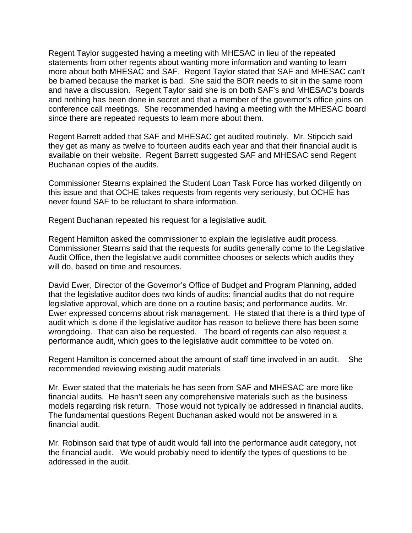Regent Taylor suggested having a meeting with MHESAC in lieu of the repeated statements from other regents about wanting more information and wanting to learn more about both MHESAC and SAF. Regent Taylor stated that SAF and MHESAC can't be blamed because the market is bad. She said the BOR needs to sit in the same room and have a discussion. Regent Taylor said she is on both SAF's and MHESAC's boards and nothing has been done in secret and that a member of the governor's office joins on conference call meetings. She recommended having a meeting with the MHESAC board since there are repeated requests to learn more about them.

Regent Barrett added that SAF and MHESAC get audited routinely. Mr. Stipcich said they get as many as twelve to fourteen audits each year and that their financial audit is available on their website. Regent Barrett suggested SAF and MHESAC send Regent Buchanan copies of the audits.

Commissioner Stearns explained the Student Loan Task Force has worked diligently on this issue and that OCHE takes requests from regents very seriously, but OCHE has never found SAF to be reluctant to share information.

Regent Buchanan repeated his request for a legislative audit.

Regent Hamilton asked the commissioner to explain the legislative audit process. Commissioner Stearns said that the requests for audits generally come to the Legislative Audit Office, then the legislative audit committee chooses or selects which audits they will do, based on time and resources.

David Ewer, Director of the Governor's Office of Budget and Program Planning, added that the legislative auditor does two kinds of audits: financial audits that do not require legislative approval, which are done on a routine basis; and performance audits. Mr. Ewer expressed concerns about risk management. He stated that there is a third type of audit which is done if the legislative auditor has reason to believe there has been some wrongdoing. That can also be requested. The board of regents can also request a performance audit, which goes to the legislative audit committee to be voted on.

Regent Hamilton is concerned about the amount of staff time involved in an audit. She recommended reviewing existing audit materials

Mr. Ewer stated that the materials he has seen from SAF and MHESAC are more like financial audits. He hasn't seen any comprehensive materials such as the business models regarding risk return. Those would not typically be addressed in financial audits. The fundamental questions Regent Buchanan asked would not be answered in a financial audit.

Mr. Robinson said that type of audit would fall into the performance audit category, not the financial audit. We would probably need to identify the types of questions to be addressed in the audit.